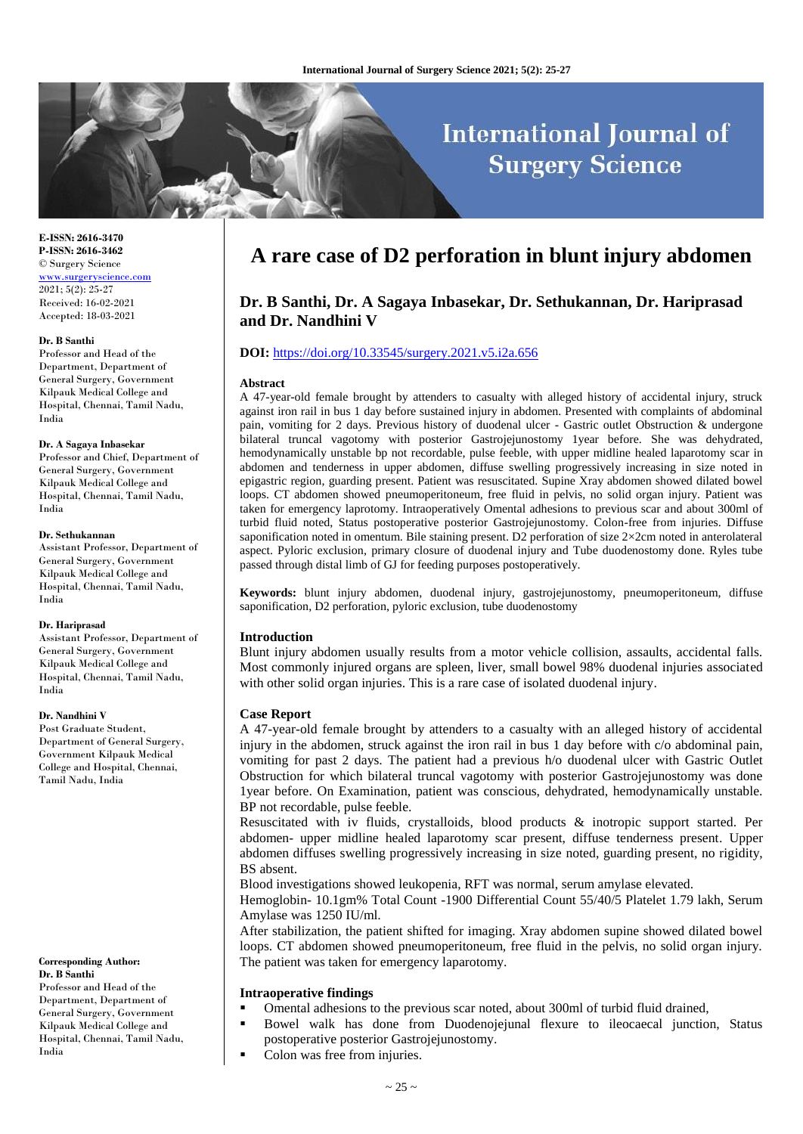# **International Journal of Surgery Science**

**E-ISSN: 2616-3470 P-ISSN: 2616-3462** © Surgery Science [www.surgeryscience.com](http://www.surgeryscience.com/)  $2021:5(2):25-27$ Received: 16-02-2021 Accepted: 18-03-2021

#### **Dr. B Santhi**

Professor and Head of the Department, Department of General Surgery, Government Kilpauk Medical College and Hospital, Chennai, Tamil Nadu, India

#### **Dr. A Sagaya Inbasekar**

Professor and Chief, Department of General Surgery, Government Kilpauk Medical College and Hospital, Chennai, Tamil Nadu, India

#### **Dr. Sethukannan**

Assistant Professor, Department of General Surgery, Government Kilpauk Medical College and Hospital, Chennai, Tamil Nadu, India

#### **Dr. Hariprasad**

Assistant Professor, Department of General Surgery, Government Kilpauk Medical College and Hospital, Chennai, Tamil Nadu, India

# **Dr. Nandhini V**

Post Graduate Student, Department of General Surgery, Government Kilpauk Medical College and Hospital, Chennai, Tamil Nadu, India

## **Corresponding Author: Dr. B Santhi**

Professor and Head of the Department, Department of General Surgery, Government Kilpauk Medical College and Hospital, Chennai, Tamil Nadu, India

# **A rare case of D2 perforation in blunt injury abdomen**

# **Dr. B Santhi, Dr. A Sagaya Inbasekar, Dr. Sethukannan, Dr. Hariprasad and Dr. Nandhini V**

# **DOI:** <https://doi.org/10.33545/surgery.2021.v5.i2a.656>

### **Abstract**

A 47-year-old female brought by attenders to casualty with alleged history of accidental injury, struck against iron rail in bus 1 day before sustained injury in abdomen. Presented with complaints of abdominal pain, vomiting for 2 days. Previous history of duodenal ulcer - Gastric outlet Obstruction & undergone bilateral truncal vagotomy with posterior Gastrojejunostomy 1year before. She was dehydrated, hemodynamically unstable bp not recordable, pulse feeble, with upper midline healed laparotomy scar in abdomen and tenderness in upper abdomen, diffuse swelling progressively increasing in size noted in epigastric region, guarding present. Patient was resuscitated. Supine Xray abdomen showed dilated bowel loops. CT abdomen showed pneumoperitoneum, free fluid in pelvis, no solid organ injury. Patient was taken for emergency laprotomy. Intraoperatively Omental adhesions to previous scar and about 300ml of turbid fluid noted, Status postoperative posterior Gastrojejunostomy. Colon-free from injuries. Diffuse saponification noted in omentum. Bile staining present. D2 perforation of size 2×2cm noted in anterolateral aspect. Pyloric exclusion, primary closure of duodenal injury and Tube duodenostomy done. Ryles tube passed through distal limb of GJ for feeding purposes postoperatively.

**Keywords:** blunt injury abdomen, duodenal injury, gastrojejunostomy, pneumoperitoneum, diffuse saponification, D2 perforation, pyloric exclusion, tube duodenostomy

## **Introduction**

Blunt injury abdomen usually results from a motor vehicle collision, assaults, accidental falls. Most commonly injured organs are spleen, liver, small bowel 98% duodenal injuries associated with other solid organ injuries. This is a rare case of isolated duodenal injury.

## **Case Report**

A 47-year-old female brought by attenders to a casualty with an alleged history of accidental injury in the abdomen, struck against the iron rail in bus 1 day before with c/o abdominal pain, vomiting for past 2 days. The patient had a previous h/o duodenal ulcer with Gastric Outlet Obstruction for which bilateral truncal vagotomy with posterior Gastrojejunostomy was done 1year before. On Examination, patient was conscious, dehydrated, hemodynamically unstable. BP not recordable, pulse feeble.

Resuscitated with iv fluids, crystalloids, blood products & inotropic support started. Per abdomen- upper midline healed laparotomy scar present, diffuse tenderness present. Upper abdomen diffuses swelling progressively increasing in size noted, guarding present, no rigidity, BS absent.

Blood investigations showed leukopenia, RFT was normal, serum amylase elevated.

Hemoglobin- 10.1gm% Total Count -1900 Differential Count 55/40/5 Platelet 1.79 lakh, Serum Amylase was 1250 IU/ml.

After stabilization, the patient shifted for imaging. Xray abdomen supine showed dilated bowel loops. CT abdomen showed pneumoperitoneum, free fluid in the pelvis, no solid organ injury. The patient was taken for emergency laparotomy.

## **Intraoperative findings**

- Omental adhesions to the previous scar noted, about 300ml of turbid fluid drained,
- Bowel walk has done from Duodenojejunal flexure to ileocaecal junction, Status postoperative posterior Gastrojejunostomy.
- Colon was free from injuries.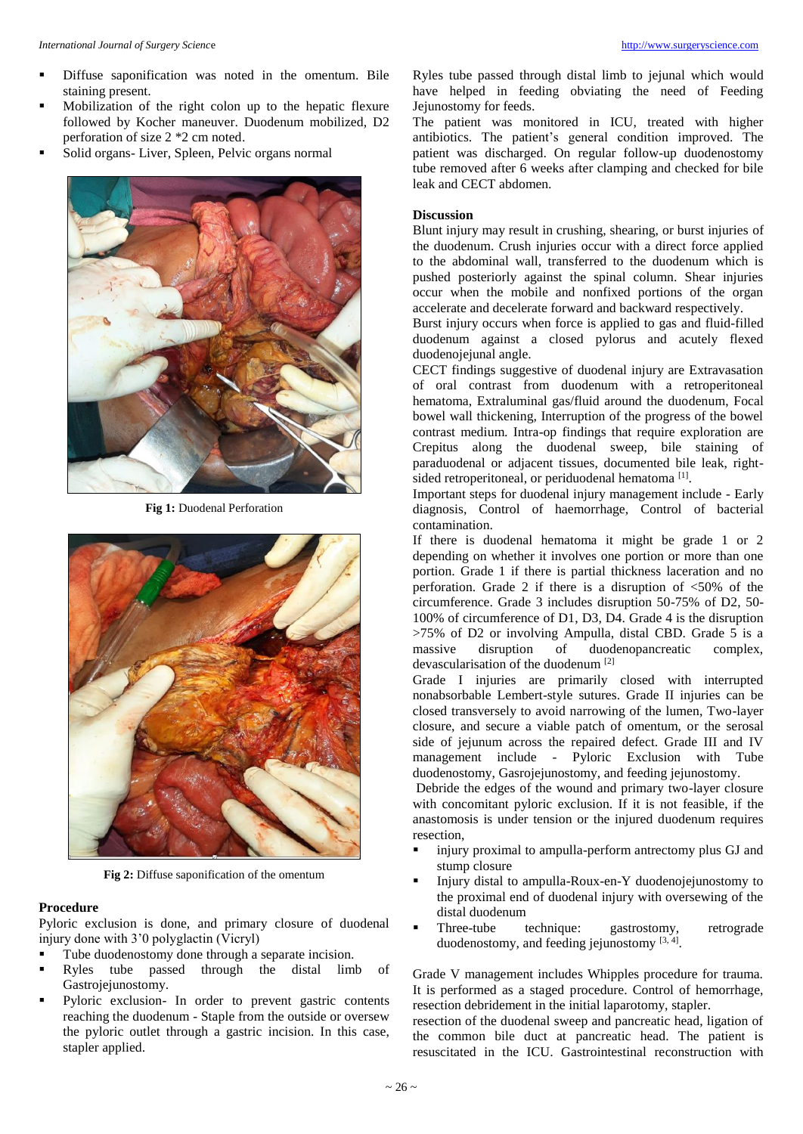- Diffuse saponification was noted in the omentum. Bile staining present.
- Mobilization of the right colon up to the hepatic flexure followed by Kocher maneuver. Duodenum mobilized, D2 perforation of size 2 \*2 cm noted.
- Solid organs- Liver, Spleen, Pelvic organs normal



**Fig 1:** Duodenal Perforation



**Fig 2:** Diffuse saponification of the omentum

# **Procedure**

Pyloric exclusion is done, and primary closure of duodenal injury done with 3'0 polyglactin (Vicryl)

- Tube duodenostomy done through a separate incision.
- Ryles tube passed through the distal limb of Gastrojejunostomy.
- Pyloric exclusion- In order to prevent gastric contents reaching the duodenum - Staple from the outside or oversew the pyloric outlet through a gastric incision. In this case, stapler applied.

Ryles tube passed through distal limb to jejunal which would have helped in feeding obviating the need of Feeding Jejunostomy for feeds.

The patient was monitored in ICU, treated with higher antibiotics. The patient's general condition improved. The patient was discharged. On regular follow-up duodenostomy tube removed after 6 weeks after clamping and checked for bile leak and CECT abdomen.

# **Discussion**

Blunt injury may result in crushing, shearing, or burst injuries of the duodenum. Crush injuries occur with a direct force applied to the abdominal wall, transferred to the duodenum which is pushed posteriorly against the spinal column. Shear injuries occur when the mobile and nonfixed portions of the organ accelerate and decelerate forward and backward respectively.

Burst injury occurs when force is applied to gas and fluid-filled duodenum against a closed pylorus and acutely flexed duodenojejunal angle.

CECT findings suggestive of duodenal injury are Extravasation of oral contrast from duodenum with a retroperitoneal hematoma, Extraluminal gas/fluid around the duodenum, Focal bowel wall thickening, Interruption of the progress of the bowel contrast medium. Intra-op findings that require exploration are Crepitus along the duodenal sweep, bile staining of paraduodenal or adjacent tissues, documented bile leak, rightsided retroperitoneal, or periduodenal hematoma<sup>[1]</sup>.

Important steps for duodenal injury management include - Early diagnosis, Control of haemorrhage, Control of bacterial contamination.

If there is duodenal hematoma it might be grade 1 or 2 depending on whether it involves one portion or more than one portion. Grade 1 if there is partial thickness laceration and no perforation. Grade 2 if there is a disruption of  $\langle 50\%$  of the circumference. Grade 3 includes disruption 50-75% of D2, 50- 100% of circumference of D1, D3, D4. Grade 4 is the disruption >75% of D2 or involving Ampulla, distal CBD. Grade 5 is a massive disruption of duodenopancreatic complex, devascularisation of the duodenum [2]

Grade I injuries are primarily closed with interrupted nonabsorbable Lembert-style sutures. Grade II injuries can be closed transversely to avoid narrowing of the lumen, Two-layer closure, and secure a viable patch of omentum, or the serosal side of jejunum across the repaired defect. Grade III and IV management include - Pyloric Exclusion with Tube duodenostomy, Gasrojejunostomy, and feeding jejunostomy.

Debride the edges of the wound and primary two-layer closure with concomitant pyloric exclusion. If it is not feasible, if the anastomosis is under tension or the injured duodenum requires resection,

- injury proximal to ampulla-perform antrectomy plus GJ and stump closure
- Injury distal to ampulla-Roux-en-Y duodenojejunostomy to the proximal end of duodenal injury with oversewing of the distal duodenum<br>Three-tube technique:
- Three-tube technique: gastrostomy, retrograde duodenostomy, and feeding jejunostomy [3, 4].

Grade V management includes Whipples procedure for trauma. It is performed as a staged procedure. Control of hemorrhage, resection debridement in the initial laparotomy, stapler.

resection of the duodenal sweep and pancreatic head, ligation of the common bile duct at pancreatic head. The patient is resuscitated in the ICU. Gastrointestinal reconstruction with